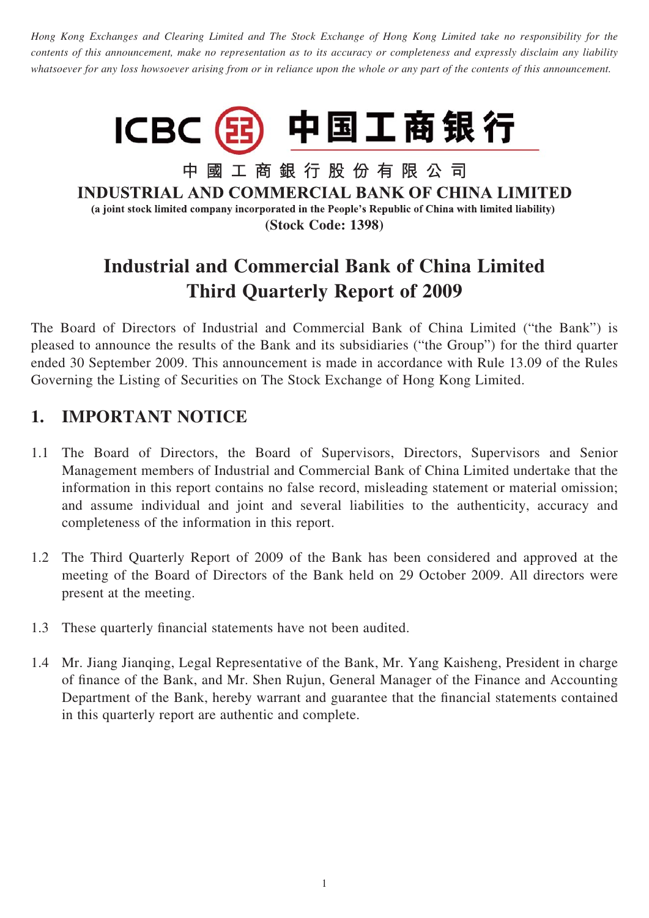*Hong Kong Exchanges and Clearing Limited and The Stock Exchange of Hong Kong Limited take no responsibility for the contents of this announcement, make no representation as to its accuracy or completeness and expressly disclaim any liability whatsoever for any loss howsoever arising from or in reliance upon the whole or any part of the contents of this announcement.*



中國工商銀行股份有限公司 **INDUSTRIAL AND COMMERCIAL BANK OF CHINA LIMITED** (a joint stock limited company incorporated in the People's Republic of China with limited liability) **(Stock Code: 1398)**

# **Industrial and Commercial Bank of China Limited Third Quarterly Report of 2009**

The Board of Directors of Industrial and Commercial Bank of China Limited ("the Bank") is pleased to announce the results of the Bank and its subsidiaries ("the Group") for the third quarter ended 30 September 2009. This announcement is made in accordance with Rule 13.09 of the Rules Governing the Listing of Securities on The Stock Exchange of Hong Kong Limited.

# **1. IMPORTANT NOTICE**

- 1.1 The Board of Directors, the Board of Supervisors, Directors, Supervisors and Senior Management members of Industrial and Commercial Bank of China Limited undertake that the information in this report contains no false record, misleading statement or material omission; and assume individual and joint and several liabilities to the authenticity, accuracy and completeness of the information in this report.
- 1.2 The Third Quarterly Report of 2009 of the Bank has been considered and approved at the meeting of the Board of Directors of the Bank held on 29 October 2009. All directors were present at the meeting.
- 1.3 These quarterly financial statements have not been audited.
- 1.4 Mr. Jiang Jianqing, Legal Representative of the Bank, Mr. Yang Kaisheng, President in charge of finance of the Bank, and Mr. Shen Rujun, General Manager of the Finance and Accounting Department of the Bank, hereby warrant and guarantee that the financial statements contained in this quarterly report are authentic and complete.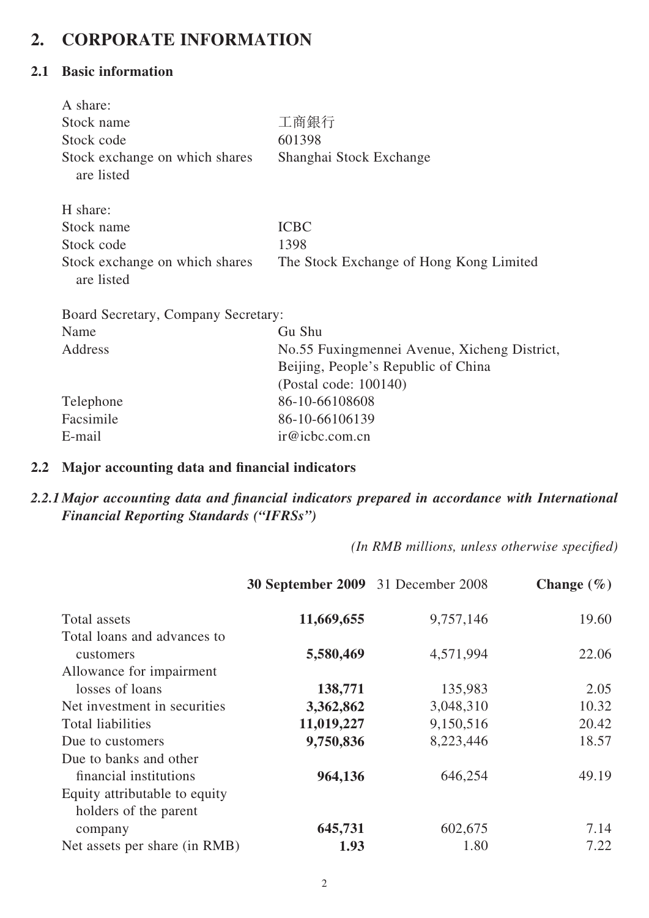# **2. CORPORATE INFORMATION**

#### **2.1 Basic information**

| A share:                                     |                                              |
|----------------------------------------------|----------------------------------------------|
| Stock name                                   | 工商銀行                                         |
| Stock code                                   | 601398                                       |
| Stock exchange on which shares<br>are listed | Shanghai Stock Exchange                      |
| H share:                                     |                                              |
| Stock name                                   | <b>ICBC</b>                                  |
| Stock code                                   | 1398                                         |
| Stock exchange on which shares<br>are listed | The Stock Exchange of Hong Kong Limited      |
| Board Secretary, Company Secretary:          |                                              |
| Name                                         | Gu Shu                                       |
| Address                                      | No.55 Fuxingmennei Avenue, Xicheng District, |
|                                              | Beijing, People's Republic of China          |
|                                              | (Postal code: 100140)                        |
| Telephone                                    | 86-10-66108608                               |
| Facsimile                                    | 86-10-66106139                               |
| E-mail                                       | ir@icbc.com.cn                               |

#### 2.2 Major accounting data and financial indicators

### 2.2.1 Major accounting data and financial indicators prepared in accordance with International *Financial Reporting Standards ("IFRSs")*

*(In RMB millions, unless otherwise specified)* 

|                               | 30 September 2009 31 December 2008 |           | Change $(\% )$ |
|-------------------------------|------------------------------------|-----------|----------------|
| Total assets                  | 11,669,655                         | 9,757,146 | 19.60          |
| Total loans and advances to   |                                    |           |                |
| customers                     | 5,580,469                          | 4,571,994 | 22.06          |
| Allowance for impairment      |                                    |           |                |
| losses of loans               | 138,771                            | 135,983   | 2.05           |
| Net investment in securities  | 3,362,862                          | 3,048,310 | 10.32          |
| <b>Total liabilities</b>      | 11,019,227                         | 9,150,516 | 20.42          |
| Due to customers              | 9,750,836                          | 8,223,446 | 18.57          |
| Due to banks and other        |                                    |           |                |
| financial institutions        | 964,136                            | 646,254   | 49.19          |
| Equity attributable to equity |                                    |           |                |
| holders of the parent         |                                    |           |                |
| company                       | 645,731                            | 602,675   | 7.14           |
| Net assets per share (in RMB) | 1.93                               | 1.80      | 7.22           |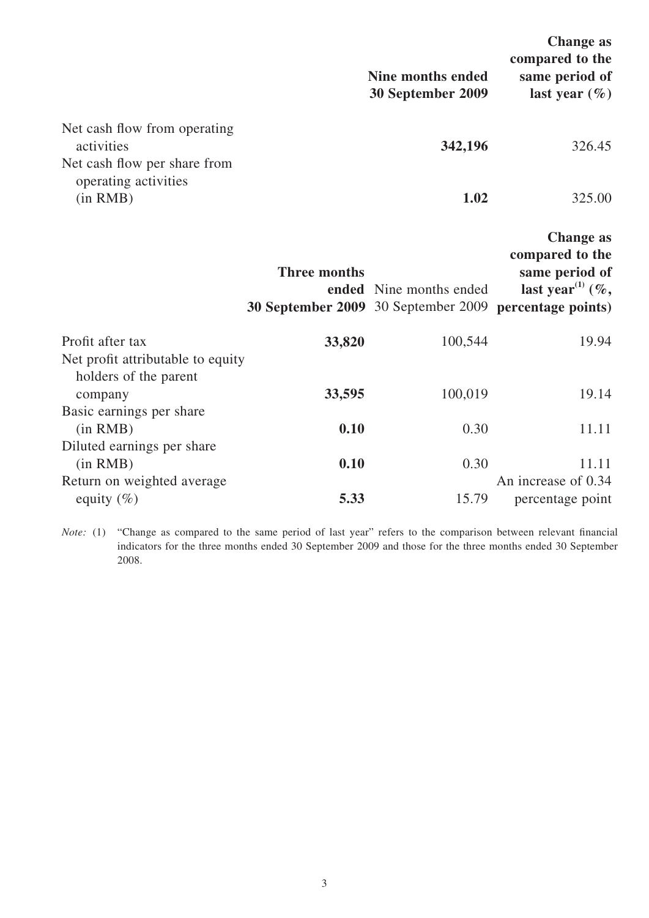|                                                            |                     | <b>Nine months ended</b><br>30 September 2009                                     | <b>Change as</b><br>compared to the<br>same period of<br>last year $(\% )$                |
|------------------------------------------------------------|---------------------|-----------------------------------------------------------------------------------|-------------------------------------------------------------------------------------------|
| Net cash flow from operating<br>activities                 |                     | 342,196                                                                           | 326.45                                                                                    |
| Net cash flow per share from<br>operating activities       |                     |                                                                                   |                                                                                           |
| (in RMB)                                                   |                     | 1.02                                                                              | 325.00                                                                                    |
|                                                            | <b>Three months</b> | ended Nine months ended<br>30 September 2009 30 September 2009 percentage points) | <b>Change as</b><br>compared to the<br>same period of<br>last year <sup>(1)</sup> $(\%$ , |
| Profit after tax                                           | 33,820              | 100,544                                                                           | 19.94                                                                                     |
| Net profit attributable to equity<br>holders of the parent |                     |                                                                                   |                                                                                           |
| company<br>Basic earnings per share                        | 33,595              | 100,019                                                                           | 19.14                                                                                     |
| (in RMB)                                                   | 0.10                | 0.30                                                                              | 11.11                                                                                     |
| Diluted earnings per share                                 |                     |                                                                                   |                                                                                           |
| (in RMB)<br>Return on weighted average                     | 0.10                | 0.30                                                                              | 11.11<br>An increase of 0.34                                                              |
| equity $(\%)$                                              | 5.33                | 15.79                                                                             | percentage point                                                                          |

*Note:* (1) "Change as compared to the same period of last year" refers to the comparison between relevant financial indicators for the three months ended 30 September 2009 and those for the three months ended 30 September 2008.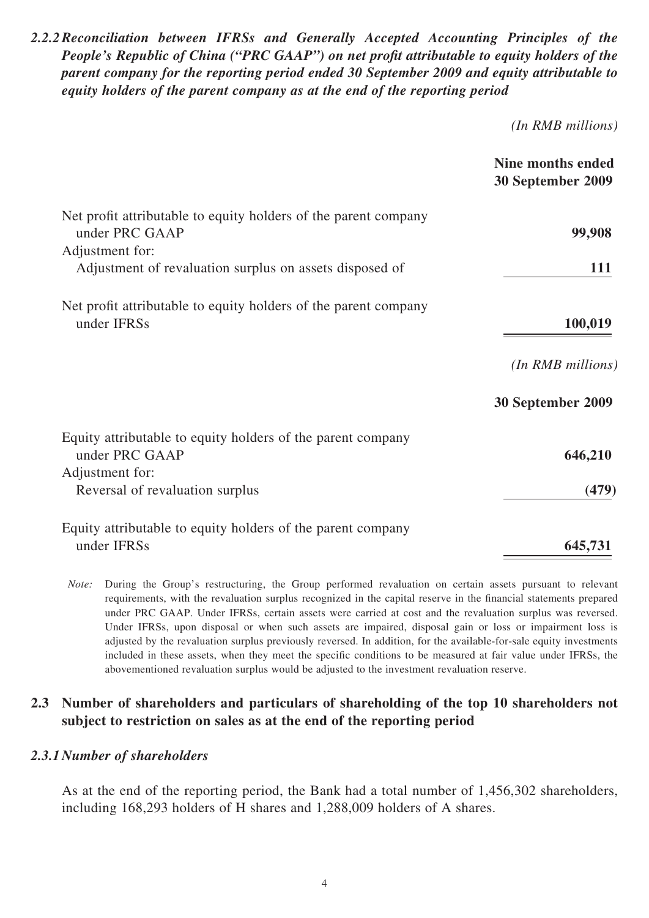*2.2.2 Reconciliation between IFRSs and Generally Accepted Accounting Principles of the People's Republic of China ("PRC GAAP") on net profit attributable to equity holders of the parent company for the reporting period ended 30 September 2009 and equity attributable to equity holders of the parent company as at the end of the reporting period*

*(In RMB millions)*

|                                                                                                  | Nine months ended<br>30 September 2009 |
|--------------------------------------------------------------------------------------------------|----------------------------------------|
| Net profit attributable to equity holders of the parent company<br>under PRC GAAP                | 99,908                                 |
| Adjustment for:<br>Adjustment of revaluation surplus on assets disposed of                       | <b>111</b>                             |
| Net profit attributable to equity holders of the parent company<br>under IFRSs                   | 100,019                                |
|                                                                                                  | (In RMB millions)                      |
|                                                                                                  | 30 September 2009                      |
| Equity attributable to equity holders of the parent company<br>under PRC GAAP<br>Adjustment for: | 646,210                                |
| Reversal of revaluation surplus                                                                  | (479)                                  |
| Equity attributable to equity holders of the parent company<br>under IFRSs                       | 645,731                                |

*Note:* During the Group's restructuring, the Group performed revaluation on certain assets pursuant to relevant requirements, with the revaluation surplus recognized in the capital reserve in the financial statements prepared under PRC GAAP. Under IFRSs, certain assets were carried at cost and the revaluation surplus was reversed. Under IFRSs, upon disposal or when such assets are impaired, disposal gain or loss or impairment loss is adjusted by the revaluation surplus previously reversed. In addition, for the available-for-sale equity investments included in these assets, when they meet the specific conditions to be measured at fair value under IFRSs, the abovementioned revaluation surplus would be adjusted to the investment revaluation reserve.

#### **2.3 Number of shareholders and particulars of shareholding of the top 10 shareholders not subject to restriction on sales as at the end of the reporting period**

#### *2.3.1 Number of shareholders*

As at the end of the reporting period, the Bank had a total number of 1,456,302 shareholders, including 168,293 holders of H shares and 1,288,009 holders of A shares.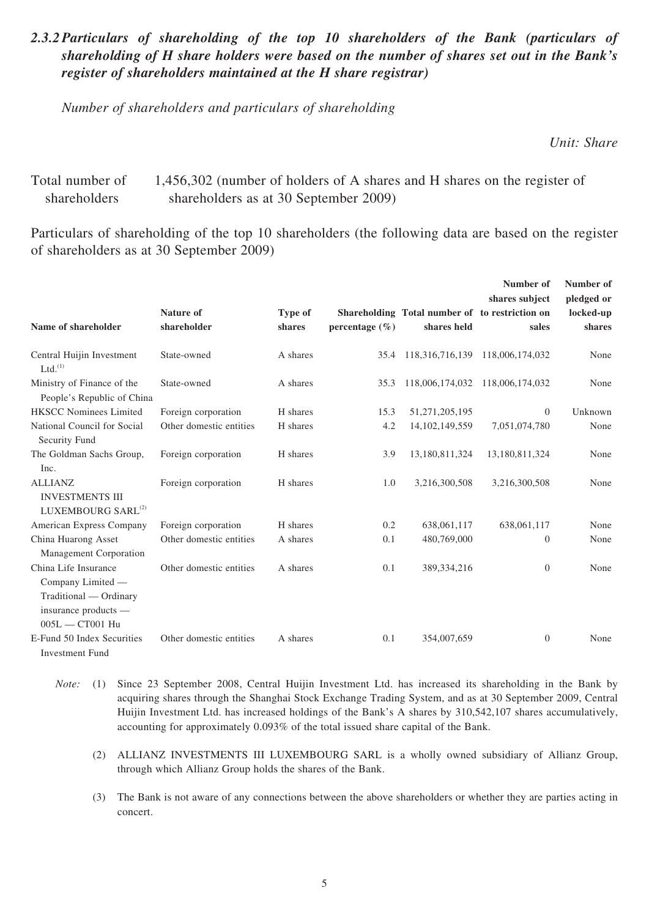#### 2.3.2 Particulars of shareholding of the top 10 shareholders of the Bank (particulars of *shareholding of H share holders were based on the number of shares set out in the Bank's register of shareholders maintained at the H share registrar)*

*Number of shareholders and particulars of shareholding*

*Unit: Share*

#### Total number of shareholders 1,456,302 (number of holders of A shares and H shares on the register of shareholders as at 30 September 2009)

Particulars of shareholding of the top 10 shareholders (the following data are based on the register of shareholders as at 30 September 2009)

|                                                                                                                  |                         |          |                    |                                                | Number of<br>shares subject | Number of<br>pledged or |
|------------------------------------------------------------------------------------------------------------------|-------------------------|----------|--------------------|------------------------------------------------|-----------------------------|-------------------------|
|                                                                                                                  | Nature of               | Type of  |                    | Shareholding Total number of to restriction on |                             | locked-up               |
| Name of shareholder                                                                                              | shareholder             | shares   | percentage $(\% )$ | shares held                                    | sales                       | shares                  |
| Central Huijin Investment<br>Ltd. <sup>(1)</sup>                                                                 | State-owned             | A shares | 35.4               | 118,316,716,139                                | 118,006,174,032             | None                    |
| Ministry of Finance of the<br>People's Republic of China                                                         | State-owned             | A shares | 35.3               | 118,006,174,032                                | 118,006,174,032             | None                    |
| <b>HKSCC Nominees Limited</b>                                                                                    | Foreign corporation     | H shares | 15.3               | 51,271,205,195                                 | $\theta$                    | Unknown                 |
| National Council for Social<br>Security Fund                                                                     | Other domestic entities | H shares | 4.2                | 14, 102, 149, 559                              | 7,051,074,780               | None                    |
| The Goldman Sachs Group,<br>Inc.                                                                                 | Foreign corporation     | H shares | 3.9                | 13,180,811,324                                 | 13,180,811,324              | None                    |
| <b>ALLIANZ</b><br><b>INVESTMENTS III</b><br>LUXEMBOURG SARL <sup>(2)</sup>                                       | Foreign corporation     | H shares | 1.0                | 3,216,300,508                                  | 3,216,300,508               | None                    |
| American Express Company                                                                                         | Foreign corporation     | H shares | 0.2                | 638,061,117                                    | 638,061,117                 | None                    |
| China Huarong Asset<br><b>Management Corporation</b>                                                             | Other domestic entities | A shares | 0.1                | 480,769,000                                    | $\mathbf{0}$                | None                    |
| China Life Insurance<br>Company Limited -<br>Traditional — Ordinary<br>insurance products —<br>$005L - CTO01$ Hu | Other domestic entities | A shares | 0.1                | 389, 334, 216                                  | $\mathbf{0}$                | None                    |
| E-Fund 50 Index Securities<br><b>Investment Fund</b>                                                             | Other domestic entities | A shares | 0.1                | 354,007,659                                    | $\mathbf{0}$                | None                    |

- *Note:* (1) Since 23 September 2008, Central Huijin Investment Ltd. has increased its shareholding in the Bank by acquiring shares through the Shanghai Stock Exchange Trading System, and as at 30 September 2009, Central Huijin Investment Ltd. has increased holdings of the Bank's A shares by 310,542,107 shares accumulatively, accounting for approximately 0.093% of the total issued share capital of the Bank.
	- (2) ALLIANZ INVESTMENTS III LUXEMBOURG SARL is a wholly owned subsidiary of Allianz Group, through which Allianz Group holds the shares of the Bank.
	- (3) The Bank is not aware of any connections between the above shareholders or whether they are parties acting in concert.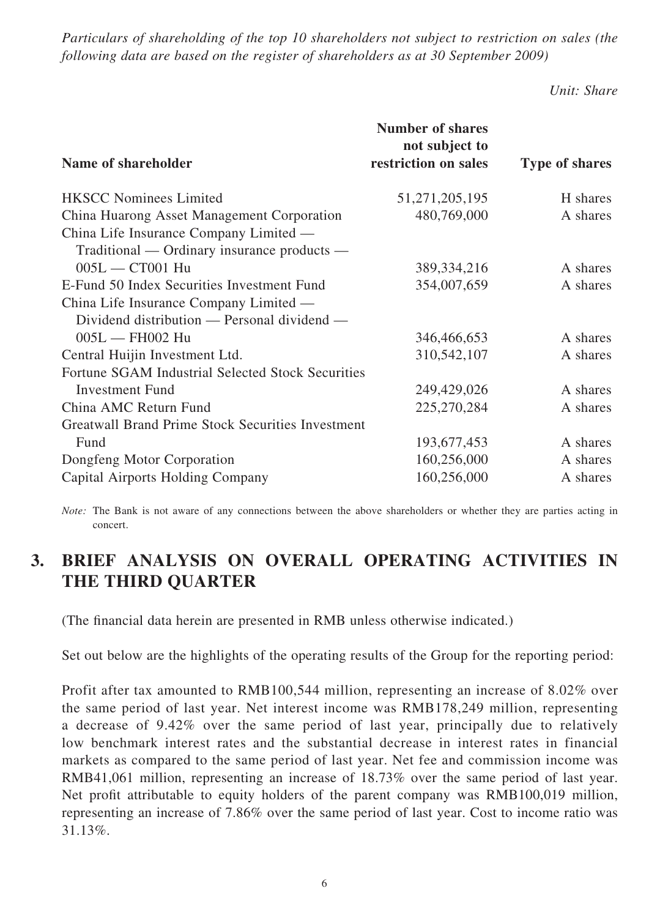*Particulars of shareholding of the top 10 shareholders not subject to restriction on sales (the following data are based on the register of shareholders as at 30 September 2009)*

*Unit: Share*

|                                                          | <b>Number of shares</b>                |                       |
|----------------------------------------------------------|----------------------------------------|-----------------------|
| Name of shareholder                                      | not subject to<br>restriction on sales | <b>Type of shares</b> |
| <b>HKSCC Nominees Limited</b>                            | 51, 271, 205, 195                      | H shares              |
| China Huarong Asset Management Corporation               | 480,769,000                            | A shares              |
| China Life Insurance Company Limited —                   |                                        |                       |
| Traditional — Ordinary insurance products —              |                                        |                       |
| $005L - CTO01$ Hu                                        | 389, 334, 216                          | A shares              |
| E-Fund 50 Index Securities Investment Fund               | 354,007,659                            | A shares              |
| China Life Insurance Company Limited —                   |                                        |                       |
| Dividend distribution — Personal dividend —              |                                        |                       |
| $005L - FH002$ Hu                                        | 346,466,653                            | A shares              |
| Central Huijin Investment Ltd.                           | 310,542,107                            | A shares              |
| Fortune SGAM Industrial Selected Stock Securities        |                                        |                       |
| <b>Investment Fund</b>                                   | 249,429,026                            | A shares              |
| China AMC Return Fund                                    | 225,270,284                            | A shares              |
| <b>Greatwall Brand Prime Stock Securities Investment</b> |                                        |                       |
| Fund                                                     | 193,677,453                            | A shares              |
| Dongfeng Motor Corporation                               | 160,256,000                            | A shares              |
| <b>Capital Airports Holding Company</b>                  | 160,256,000                            | A shares              |

*Note:* The Bank is not aware of any connections between the above shareholders or whether they are parties acting in concert.

# **3. BRIEF ANALYSIS ON OVERALL OPERATING ACTIVITIES IN THE THIRD QUARTER**

(The financial data herein are presented in RMB unless otherwise indicated.)

Set out below are the highlights of the operating results of the Group for the reporting period:

Profit after tax amounted to RMB100,544 million, representing an increase of 8.02% over the same period of last year. Net interest income was RMB178,249 million, representing a decrease of 9.42% over the same period of last year, principally due to relatively low benchmark interest rates and the substantial decrease in interest rates in financial markets as compared to the same period of last year. Net fee and commission income was RMB41,061 million, representing an increase of 18.73% over the same period of last year. Net profit attributable to equity holders of the parent company was RMB100,019 million, representing an increase of 7.86% over the same period of last year. Cost to income ratio was 31.13%.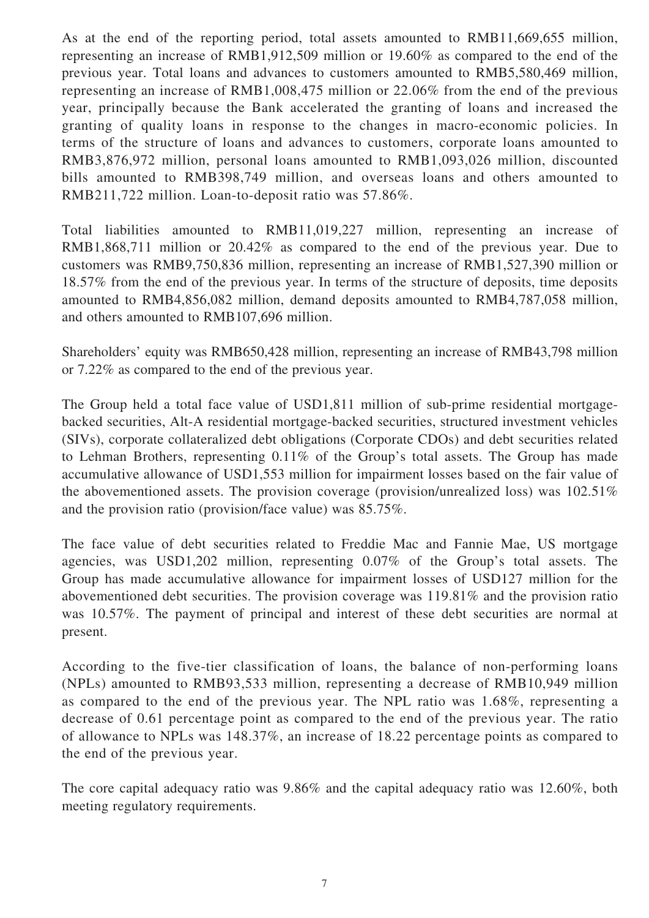As at the end of the reporting period, total assets amounted to RMB11,669,655 million, representing an increase of RMB1,912,509 million or 19.60% as compared to the end of the previous year. Total loans and advances to customers amounted to RMB5,580,469 million, representing an increase of RMB1,008,475 million or 22.06% from the end of the previous year, principally because the Bank accelerated the granting of loans and increased the granting of quality loans in response to the changes in macro-economic policies. In terms of the structure of loans and advances to customers, corporate loans amounted to RMB3,876,972 million, personal loans amounted to RMB1,093,026 million, discounted bills amounted to RMB398,749 million, and overseas loans and others amounted to RMB211,722 million. Loan-to-deposit ratio was 57.86%.

Total liabilities amounted to RMB11,019,227 million, representing an increase of RMB1,868,711 million or 20.42% as compared to the end of the previous year. Due to customers was RMB9,750,836 million, representing an increase of RMB1,527,390 million or 18.57% from the end of the previous year. In terms of the structure of deposits, time deposits amounted to RMB4,856,082 million, demand deposits amounted to RMB4,787,058 million, and others amounted to RMB107,696 million.

Shareholders' equity was RMB650,428 million, representing an increase of RMB43,798 million or 7.22% as compared to the end of the previous year.

The Group held a total face value of USD1,811 million of sub-prime residential mortgagebacked securities, Alt-A residential mortgage-backed securities, structured investment vehicles (SIVs), corporate collateralized debt obligations (Corporate CDOs) and debt securities related to Lehman Brothers, representing 0.11% of the Group's total assets. The Group has made accumulative allowance of USD1,553 million for impairment losses based on the fair value of the abovementioned assets. The provision coverage (provision/unrealized loss) was 102.51% and the provision ratio (provision/face value) was 85.75%.

The face value of debt securities related to Freddie Mac and Fannie Mae, US mortgage agencies, was USD1,202 million, representing 0.07% of the Group's total assets. The Group has made accumulative allowance for impairment losses of USD127 million for the abovementioned debt securities. The provision coverage was 119.81% and the provision ratio was 10.57%. The payment of principal and interest of these debt securities are normal at present.

According to the five-tier classification of loans, the balance of non-performing loans (NPLs) amounted to RMB93,533 million, representing a decrease of RMB10,949 million as compared to the end of the previous year. The NPL ratio was 1.68%, representing a decrease of 0.61 percentage point as compared to the end of the previous year. The ratio of allowance to NPLs was 148.37%, an increase of 18.22 percentage points as compared to the end of the previous year.

The core capital adequacy ratio was 9.86% and the capital adequacy ratio was 12.60%, both meeting regulatory requirements.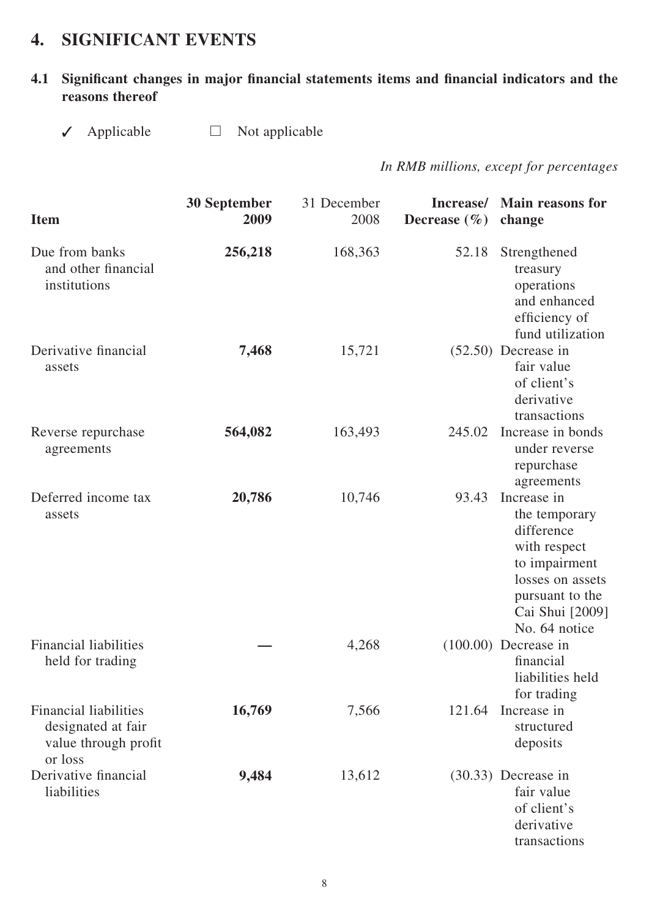# **4. SIGNIFICANT EVENTS**

### 4.1 Significant changes in major financial statements items and financial indicators and the **reasons thereof**

✓ Applicable □ Not applicable

*In RMB millions, except for percentages*

| <b>Item</b>                                                                           | <b>30 September</b><br>2009 | 31 December<br>2008 | Increase/<br>Decrease $(\% )$ | <b>Main reasons for</b><br>change                                                                                                                      |
|---------------------------------------------------------------------------------------|-----------------------------|---------------------|-------------------------------|--------------------------------------------------------------------------------------------------------------------------------------------------------|
| Due from banks<br>and other financial<br>institutions                                 | 256,218                     | 168,363             | 52.18                         | Strengthened<br>treasury<br>operations<br>and enhanced<br>efficiency of<br>fund utilization                                                            |
| Derivative financial<br>assets                                                        | 7,468                       | 15,721              |                               | $(52.50)$ Decrease in<br>fair value<br>of client's<br>derivative<br>transactions                                                                       |
| Reverse repurchase<br>agreements                                                      | 564,082                     | 163,493             | 245.02                        | Increase in bonds<br>under reverse<br>repurchase<br>agreements                                                                                         |
| Deferred income tax<br>assets                                                         | 20,786                      | 10,746              | 93.43                         | Increase in<br>the temporary<br>difference<br>with respect<br>to impairment<br>losses on assets<br>pursuant to the<br>Cai Shui [2009]<br>No. 64 notice |
| <b>Financial liabilities</b><br>held for trading                                      |                             | 4,268               |                               | $(100.00)$ Decrease in<br>financial<br>liabilities held<br>for trading                                                                                 |
| <b>Financial liabilities</b><br>designated at fair<br>value through profit<br>or loss | 16,769                      | 7,566               | 121.64                        | Increase in<br>structured<br>deposits                                                                                                                  |
| Derivative financial<br>liabilities                                                   | 9,484                       | 13,612              |                               | $(30.33)$ Decrease in<br>fair value<br>of client's<br>derivative<br>transactions                                                                       |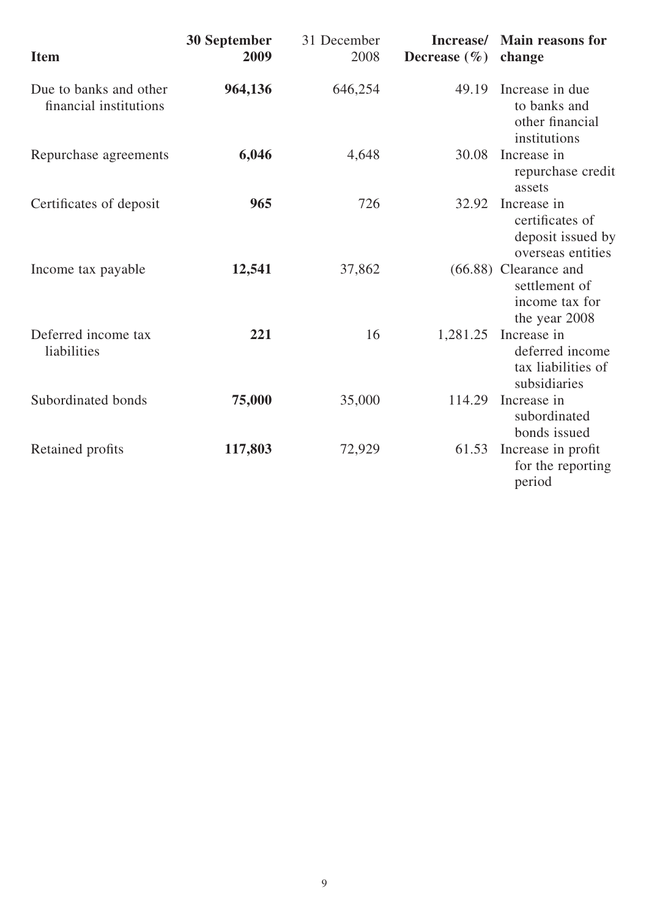| <b>Item</b>                                      | <b>30 September</b><br>2009 | 31 December<br>2008 | Increase/<br>Decrease $(\% )$ | <b>Main reasons for</b><br>change                                           |
|--------------------------------------------------|-----------------------------|---------------------|-------------------------------|-----------------------------------------------------------------------------|
| Due to banks and other<br>financial institutions | 964,136                     | 646,254             | 49.19                         | Increase in due<br>to banks and<br>other financial<br>institutions          |
| Repurchase agreements                            | 6,046                       | 4,648               | 30.08                         | Increase in<br>repurchase credit<br>assets                                  |
| Certificates of deposit                          | 965                         | 726                 | 32.92                         | Increase in<br>certificates of<br>deposit issued by<br>overseas entities    |
| Income tax payable                               | 12,541                      | 37,862              |                               | $(66.88)$ Clearance and<br>settlement of<br>income tax for<br>the year 2008 |
| Deferred income tax<br>liabilities               | 221                         | 16                  | 1,281.25                      | Increase in<br>deferred income<br>tax liabilities of<br>subsidiaries        |
| Subordinated bonds                               | 75,000                      | 35,000              | 114.29                        | Increase in<br>subordinated<br>bonds issued                                 |
| Retained profits                                 | 117,803                     | 72,929              | 61.53                         | Increase in profit<br>for the reporting<br>period                           |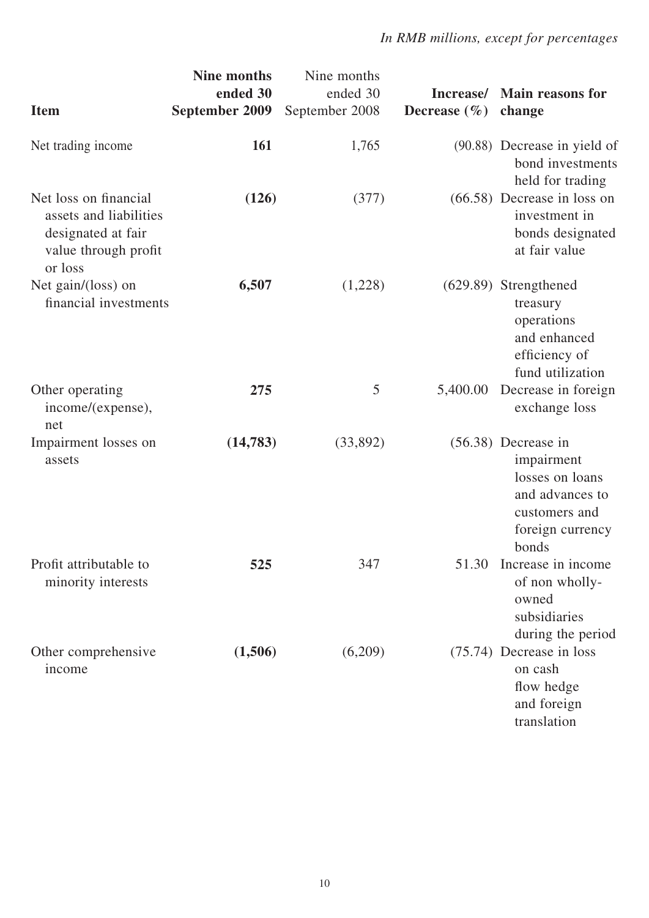|                                                                                                          | <b>Nine months</b><br>ended 30 | Nine months<br>ended 30 | Increase/        | <b>Main reasons for</b>                                                                                                 |
|----------------------------------------------------------------------------------------------------------|--------------------------------|-------------------------|------------------|-------------------------------------------------------------------------------------------------------------------------|
| <b>Item</b>                                                                                              | September 2009                 | September 2008          | Decrease $(\% )$ | change                                                                                                                  |
| Net trading income                                                                                       | <b>161</b>                     | 1,765                   |                  | (90.88) Decrease in yield of<br>bond investments<br>held for trading                                                    |
| Net loss on financial<br>assets and liabilities<br>designated at fair<br>value through profit<br>or loss | (126)                          | (377)                   |                  | $(66.58)$ Decrease in loss on<br>investment in<br>bonds designated<br>at fair value                                     |
| Net gain/(loss) on<br>financial investments                                                              | 6,507                          | (1,228)                 |                  | $(629.89)$ Strengthened<br>treasury<br>operations<br>and enhanced<br>efficiency of<br>fund utilization                  |
| Other operating<br>income/(expense),<br>net                                                              | 275                            | 5                       | 5,400.00         | Decrease in foreign<br>exchange loss                                                                                    |
| Impairment losses on<br>assets                                                                           | (14, 783)                      | (33,892)                |                  | $(56.38)$ Decrease in<br>impairment<br>losses on loans<br>and advances to<br>customers and<br>foreign currency<br>bonds |
| Profit attributable to<br>minority interests                                                             | 525                            | 347                     | 51.30            | Increase in income<br>of non wholly-<br>owned<br>subsidiaries<br>during the period                                      |
| Other comprehensive<br>income                                                                            | (1,506)                        | (6,209)                 |                  | (75.74) Decrease in loss<br>on cash<br>flow hedge<br>and foreign<br>translation                                         |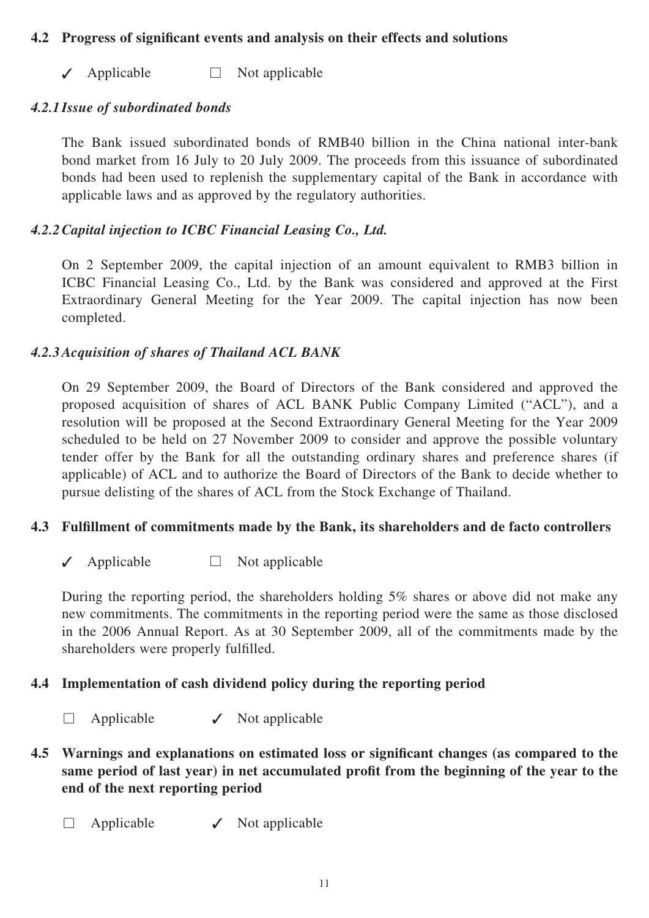#### **4.2 Progress of significant events and analysis on their effects and solutions**

 $\sqrt{\phantom{a}}$  Applicable  $\Box$  Not applicable

#### *4.2.1 Issue of subordinated bonds*

The Bank issued subordinated bonds of RMB40 billion in the China national inter-bank bond market from 16 July to 20 July 2009. The proceeds from this issuance of subordinated bonds had been used to replenish the supplementary capital of the Bank in accordance with applicable laws and as approved by the regulatory authorities.

#### *4.2.2 Capital injection to ICBC Financial Leasing Co., Ltd.*

On 2 September 2009, the capital injection of an amount equivalent to RMB3 billion in ICBC Financial Leasing Co., Ltd. by the Bank was considered and approved at the First Extraordinary General Meeting for the Year 2009. The capital injection has now been completed.

### *4.2.3 Acquisition of shares of Thailand ACL BANK*

On 29 September 2009, the Board of Directors of the Bank considered and approved the proposed acquisition of shares of ACL BANK Public Company Limited ("ACL"), and a resolution will be proposed at the Second Extraordinary General Meeting for the Year 2009 scheduled to be held on 27 November 2009 to consider and approve the possible voluntary tender offer by the Bank for all the outstanding ordinary shares and preference shares (if applicable) of ACL and to authorize the Board of Directors of the Bank to decide whether to pursue delisting of the shares of ACL from the Stock Exchange of Thailand.

### **4.3 Fulfillment of commitments made by the Bank, its shareholders and de facto controllers**

✓ Applicable □ Not applicable

During the reporting period, the shareholders holding 5% shares or above did not make any new commitments. The commitments in the reporting period were the same as those disclosed in the 2006 Annual Report. As at 30 September 2009, all of the commitments made by the shareholders were properly fulfilled.

### **4.4 Implementation of cash dividend policy during the reporting period**

- $\Box$  Applicable  $\angle$  Not applicable
- **4.5 Warnings and explanations on estimated loss or significant changes (as compared to the** same period of last year) in net accumulated profit from the beginning of the year to the **end of the next reporting period**
	- $\Box$  Applicable  $\checkmark$  Not applicable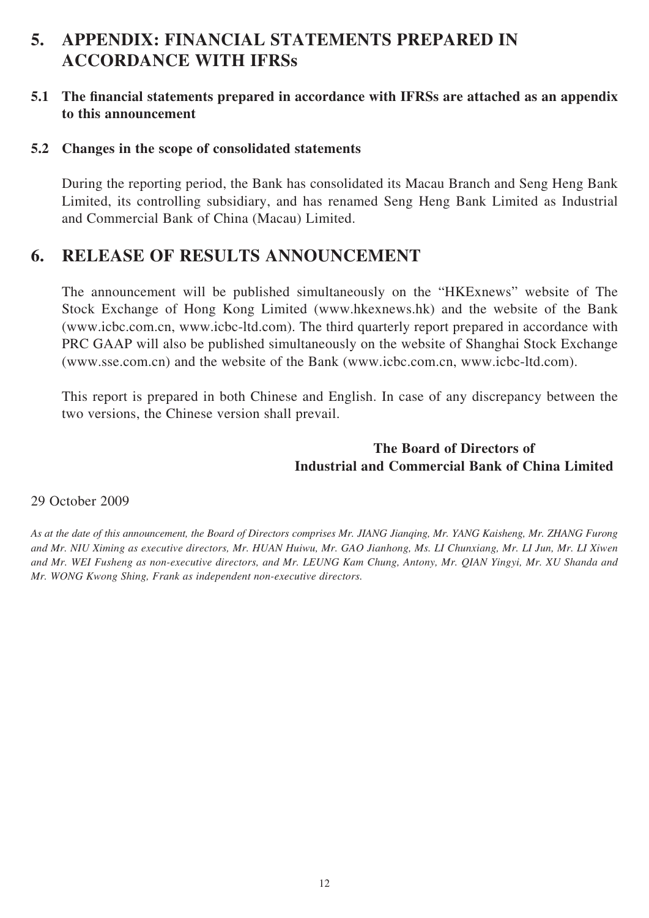# **5. APPENDIX: FINANCIAL STATEMENTS PREPARED IN ACCORDANCE WITH IFRSs**

#### **5.1** The financial statements prepared in accordance with IFRSs are attached as an appendix **to this announcement**

#### **5.2 Changes in the scope of consolidated statements**

During the reporting period, the Bank has consolidated its Macau Branch and Seng Heng Bank Limited, its controlling subsidiary, and has renamed Seng Heng Bank Limited as Industrial and Commercial Bank of China (Macau) Limited.

# **6. RELEASE OF RESULTS ANNOUNCEMENT**

The announcement will be published simultaneously on the "HKExnews" website of The Stock Exchange of Hong Kong Limited (www.hkexnews.hk) and the website of the Bank (www.icbc.com.cn, www.icbc-ltd.com). The third quarterly report prepared in accordance with PRC GAAP will also be published simultaneously on the website of Shanghai Stock Exchange (www.sse.com.cn) and the website of the Bank (www.icbc.com.cn, www.icbc-ltd.com).

This report is prepared in both Chinese and English. In case of any discrepancy between the two versions, the Chinese version shall prevail.

### **The Board of Directors of Industrial and Commercial Bank of China Limited**

#### 29 October 2009

*As at the date of this announcement, the Board of Directors comprises Mr. JIANG Jianqing, Mr. YANG Kaisheng, Mr. ZHANG Furong and Mr. NIU Ximing as executive directors, Mr. HUAN Huiwu, Mr. GAO Jianhong, Ms. LI Chunxiang, Mr. LI Jun, Mr. LI Xiwen and Mr. WEI Fusheng as non-executive directors, and Mr. LEUNG Kam Chung, Antony, Mr. QIAN Yingyi, Mr. XU Shanda and Mr. WONG Kwong Shing, Frank as independent non-executive directors.*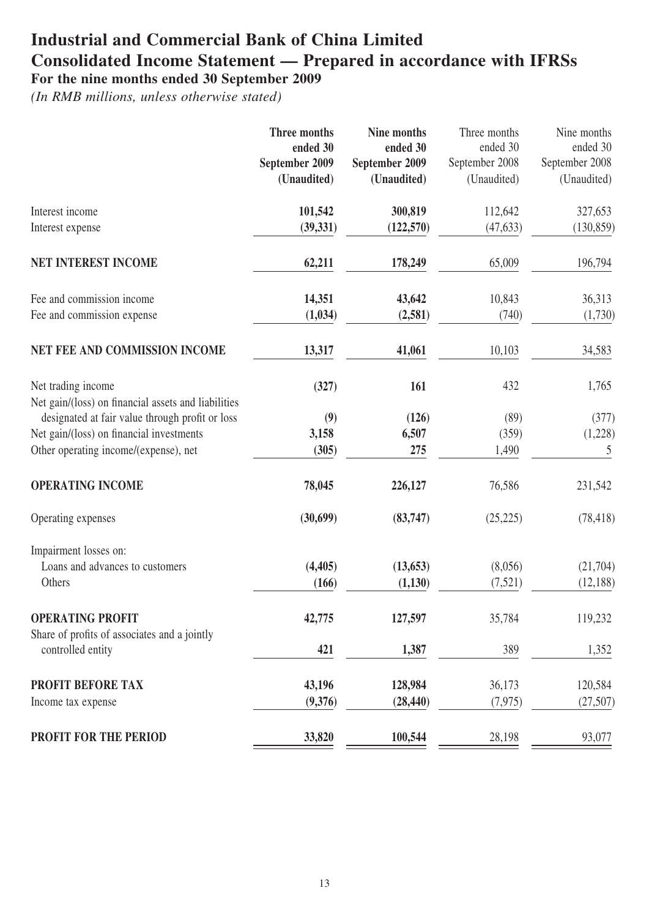# **Industrial and Commercial Bank of China Limited Consolidated Income Statement — Prepared in accordance with IFRSs For the nine months ended 30 September 2009**

|                                                                           | <b>Three months</b><br>ended 30<br>September 2009<br>(Unaudited) | Nine months<br>ended 30<br>September 2009<br>(Unaudited) | Three months<br>ended 30<br>September 2008<br>(Unaudited) | Nine months<br>ended 30<br>September 2008<br>(Unaudited) |
|---------------------------------------------------------------------------|------------------------------------------------------------------|----------------------------------------------------------|-----------------------------------------------------------|----------------------------------------------------------|
| Interest income<br>Interest expense                                       | 101,542<br>(39, 331)                                             | 300,819<br>(122, 570)                                    | 112,642<br>(47, 633)                                      | 327,653<br>(130, 859)                                    |
| <b>NET INTEREST INCOME</b>                                                | 62,211                                                           | 178,249                                                  | 65,009                                                    | 196,794                                                  |
| Fee and commission income<br>Fee and commission expense                   | 14,351<br>(1,034)                                                | 43,642<br>(2,581)                                        | 10,843<br>(740)                                           | 36,313<br>(1,730)                                        |
| NET FEE AND COMMISSION INCOME                                             | 13,317                                                           | 41,061                                                   | 10,103                                                    | 34,583                                                   |
|                                                                           |                                                                  |                                                          |                                                           |                                                          |
| Net trading income<br>Net gain/(loss) on financial assets and liabilities | (327)                                                            | 161                                                      | 432                                                       | 1,765                                                    |
| designated at fair value through profit or loss                           | (9)                                                              | (126)                                                    | (89)                                                      | (377)                                                    |
| Net gain/(loss) on financial investments                                  | 3,158                                                            | 6,507                                                    | (359)                                                     | (1,228)                                                  |
| Other operating income/(expense), net                                     | (305)                                                            | 275                                                      | 1,490                                                     | 5                                                        |
| <b>OPERATING INCOME</b>                                                   | 78,045                                                           | 226,127                                                  | 76,586                                                    | 231,542                                                  |
| Operating expenses                                                        | (30,699)                                                         | (83,747)                                                 | (25, 225)                                                 | (78, 418)                                                |
| Impairment losses on:                                                     |                                                                  |                                                          |                                                           |                                                          |
| Loans and advances to customers                                           | (4, 405)                                                         | (13, 653)                                                | (8,056)                                                   | (21,704)                                                 |
| Others                                                                    | (166)                                                            | (1,130)                                                  | (7, 521)                                                  | (12, 188)                                                |
| <b>OPERATING PROFIT</b><br>Share of profits of associates and a jointly   | 42,775                                                           | 127,597                                                  | 35,784                                                    | 119,232                                                  |
| controlled entity                                                         | 421                                                              | 1,387                                                    | 389                                                       | 1,352                                                    |
| <b>PROFIT BEFORE TAX</b>                                                  | 43,196                                                           | 128,984                                                  | 36,173                                                    | 120,584                                                  |
| Income tax expense                                                        | (9,376)                                                          | (28, 440)                                                | (7, 975)                                                  | (27, 507)                                                |
| PROFIT FOR THE PERIOD                                                     | 33,820                                                           | 100,544                                                  | 28,198                                                    | 93,077                                                   |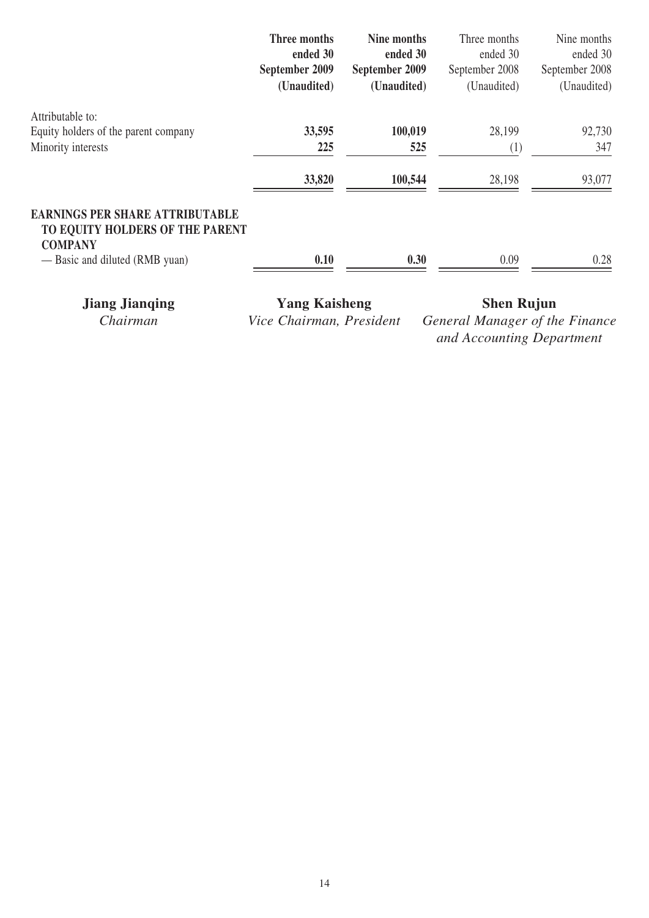|                                                                                             | Three months   | Nine months    | Three months   | Nine months    |
|---------------------------------------------------------------------------------------------|----------------|----------------|----------------|----------------|
|                                                                                             | ended 30       | ended 30       | ended 30       | ended 30       |
|                                                                                             | September 2009 | September 2009 | September 2008 | September 2008 |
|                                                                                             | (Unaudited)    | (Unaudited)    | (Unaudited)    | (Unaudited)    |
| Attributable to:                                                                            |                |                |                |                |
| Equity holders of the parent company                                                        | 33,595         | 100,019        | 28,199         | 92,730         |
| Minority interests                                                                          | 225            | 525            | (1)            | 347            |
|                                                                                             | 33,820         | 100,544        | 28,198         | 93,077         |
| <b>EARNINGS PER SHARE ATTRIBUTABLE</b><br>TO EQUITY HOLDERS OF THE PARENT<br><b>COMPANY</b> |                |                |                |                |
| — Basic and diluted (RMB yuan)                                                              | 0.10           | 0.30           | 0.09           | 0.28           |

**Jiang Jianqing Yang Kaisheng Shen Rujun**<br>Chairman Vice Chairman, President General Manager of the

*Ceneral Manager of the Finance and Accounting Department*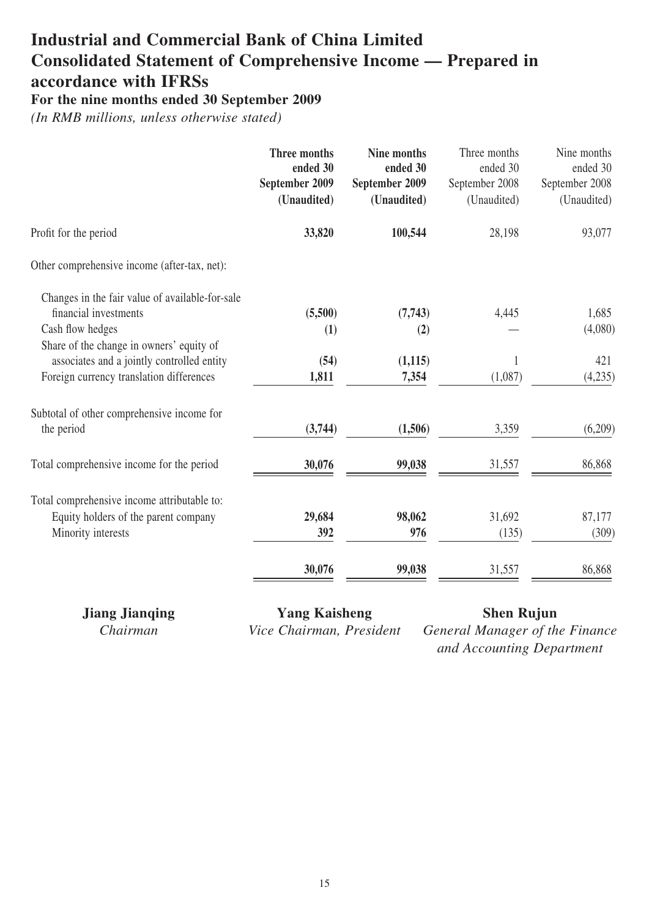# **Industrial and Commercial Bank of China Limited Consolidated Statement of Comprehensive Income — Prepared in accordance with IFRSs**

**For the nine months ended 30 September 2009**

*(In RMB millions, unless otherwise stated)*

|                                                                          | Three months<br>ended 30<br>September 2009<br>(Unaudited) | Nine months<br>ended 30<br>September 2009<br>(Unaudited) | Three months<br>ended 30<br>September 2008<br>(Unaudited) | Nine months<br>ended 30<br>September 2008<br>(Unaudited) |
|--------------------------------------------------------------------------|-----------------------------------------------------------|----------------------------------------------------------|-----------------------------------------------------------|----------------------------------------------------------|
| Profit for the period                                                    | 33,820                                                    | 100,544                                                  | 28,198                                                    | 93,077                                                   |
| Other comprehensive income (after-tax, net):                             |                                                           |                                                          |                                                           |                                                          |
| Changes in the fair value of available-for-sale<br>financial investments |                                                           |                                                          |                                                           |                                                          |
| Cash flow hedges                                                         | (5,500)<br>(1)                                            | (7,743)<br>(2)                                           | 4,445                                                     | 1,685<br>(4,080)                                         |
| Share of the change in owners' equity of                                 |                                                           |                                                          |                                                           |                                                          |
| associates and a jointly controlled entity                               | (54)                                                      | (1,115)                                                  | 1                                                         | 421                                                      |
| Foreign currency translation differences                                 | 1,811                                                     | 7,354                                                    | (1,087)                                                   | (4,235)                                                  |
| Subtotal of other comprehensive income for                               |                                                           |                                                          |                                                           |                                                          |
| the period                                                               | (3,744)                                                   | (1,506)                                                  | 3,359                                                     | (6,209)                                                  |
| Total comprehensive income for the period                                | 30,076                                                    | 99,038                                                   | 31,557                                                    | 86,868                                                   |
| Total comprehensive income attributable to:                              |                                                           |                                                          |                                                           |                                                          |
| Equity holders of the parent company                                     | 29,684                                                    | 98,062                                                   | 31,692                                                    | 87,177                                                   |
| Minority interests                                                       | 392                                                       | 976                                                      | (135)                                                     | (309)                                                    |
|                                                                          | 30,076                                                    | 99,038                                                   | 31,557                                                    | 86,868                                                   |
|                                                                          |                                                           |                                                          |                                                           |                                                          |

**Jiang Jianqing Yang Kaisheng Shen Rujun**

*Chairman Vice Chairman, President General Manager of the Finance and Accounting Department*

15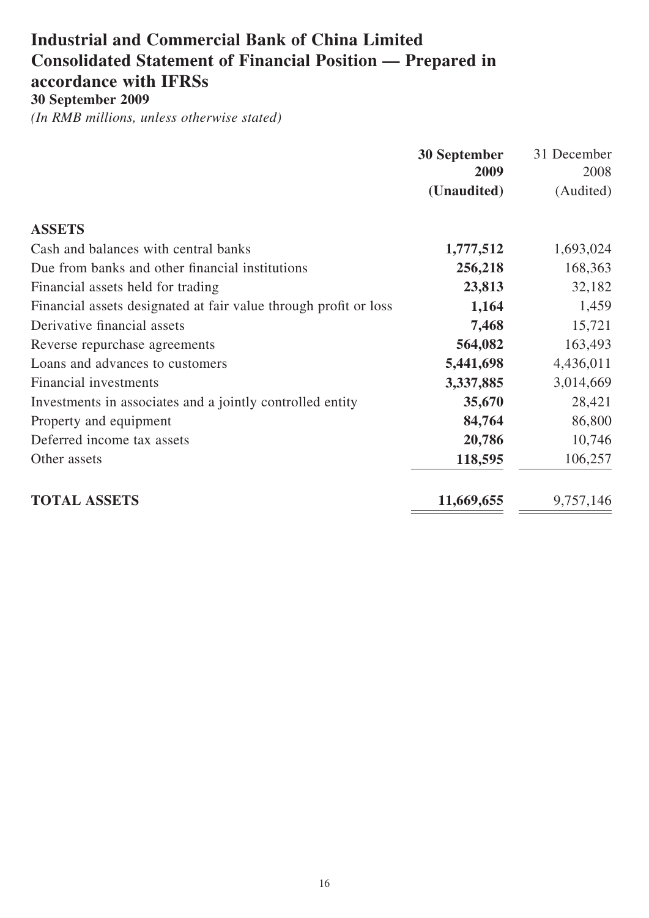# **Industrial and Commercial Bank of China Limited Consolidated Statement of Financial Position — Prepared in accordance with IFRSs**

**30 September 2009**

|                                                                  | <b>30 September</b> | 31 December |
|------------------------------------------------------------------|---------------------|-------------|
|                                                                  | 2009                | 2008        |
|                                                                  | (Unaudited)         | (Audited)   |
| <b>ASSETS</b>                                                    |                     |             |
| Cash and balances with central banks                             | 1,777,512           | 1,693,024   |
| Due from banks and other financial institutions                  | 256,218             | 168,363     |
| Financial assets held for trading                                | 23,813              | 32,182      |
| Financial assets designated at fair value through profit or loss | 1,164               | 1,459       |
| Derivative financial assets                                      | 7,468               | 15,721      |
| Reverse repurchase agreements                                    | 564,082             | 163,493     |
| Loans and advances to customers                                  | 5,441,698           | 4,436,011   |
| <b>Financial investments</b>                                     | 3,337,885           | 3,014,669   |
| Investments in associates and a jointly controlled entity        | 35,670              | 28,421      |
| Property and equipment                                           | 84,764              | 86,800      |
| Deferred income tax assets                                       | 20,786              | 10,746      |
| Other assets                                                     | 118,595             | 106,257     |
| <b>TOTAL ASSETS</b>                                              | 11,669,655          | 9,757,146   |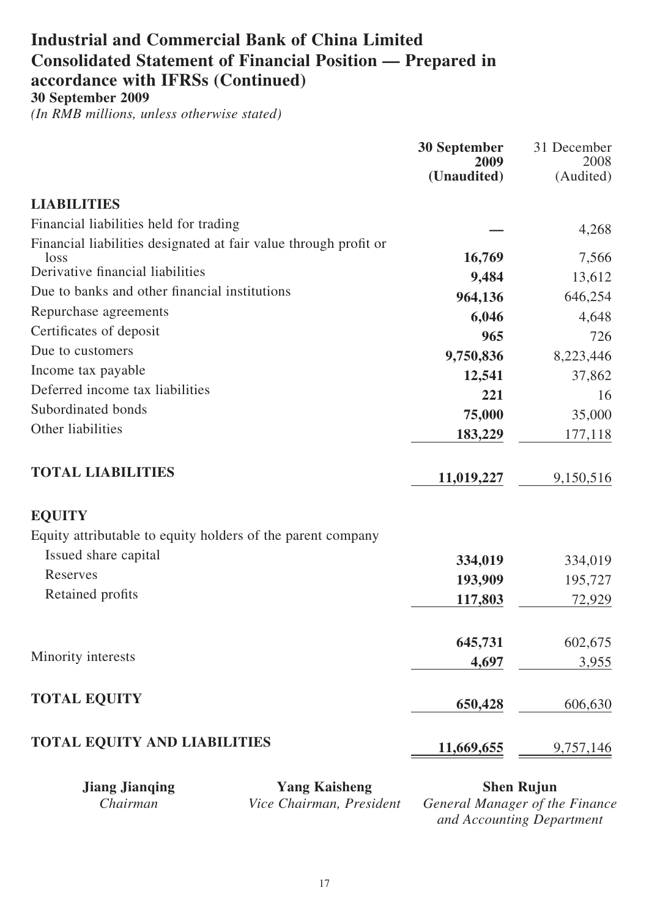# **Industrial and Commercial Bank of China Limited Consolidated Statement of Financial Position — Prepared in accordance with IFRSs (Continued)**

**30 September 2009**

*(In RMB millions, unless otherwise stated)*

|                                                                  |                                                  | <b>30 September</b><br>2009 | 31 December<br>2008                                 |
|------------------------------------------------------------------|--------------------------------------------------|-----------------------------|-----------------------------------------------------|
|                                                                  |                                                  | (Unaudited)                 | (Audited)                                           |
| <b>LIABILITIES</b>                                               |                                                  |                             |                                                     |
| Financial liabilities held for trading                           |                                                  |                             | 4,268                                               |
| Financial liabilities designated at fair value through profit or |                                                  |                             |                                                     |
| loss<br>Derivative financial liabilities                         |                                                  | 16,769                      | 7,566                                               |
| Due to banks and other financial institutions                    |                                                  | 9,484                       | 13,612                                              |
|                                                                  |                                                  | 964,136                     | 646,254                                             |
| Repurchase agreements                                            |                                                  | 6,046                       | 4,648                                               |
| Certificates of deposit                                          |                                                  | 965                         | 726                                                 |
| Due to customers                                                 |                                                  | 9,750,836                   | 8,223,446                                           |
| Income tax payable                                               |                                                  | 12,541                      | 37,862                                              |
| Deferred income tax liabilities                                  |                                                  | 221                         | 16                                                  |
| Subordinated bonds                                               |                                                  | 75,000                      | 35,000                                              |
| Other liabilities                                                |                                                  | 183,229                     | 177,118                                             |
| <b>TOTAL LIABILITIES</b>                                         |                                                  | 11,019,227                  | 9,150,516                                           |
| <b>EQUITY</b>                                                    |                                                  |                             |                                                     |
| Equity attributable to equity holders of the parent company      |                                                  |                             |                                                     |
| Issued share capital                                             |                                                  | 334,019                     | 334,019                                             |
| Reserves                                                         |                                                  | 193,909                     | 195,727                                             |
| Retained profits                                                 |                                                  | 117,803                     | 72,929                                              |
|                                                                  |                                                  |                             |                                                     |
|                                                                  |                                                  | 645,731                     | 602,675                                             |
| Minority interests                                               |                                                  | 4,697                       | 3,955                                               |
| <b>TOTAL EQUITY</b>                                              |                                                  | 650,428                     | 606,630                                             |
| <b>TOTAL EQUITY AND LIABILITIES</b>                              |                                                  | <u>11,669,655</u>           | 9,757,146                                           |
| <b>Jiang Jianqing</b><br>Chairman                                | <b>Yang Kaisheng</b><br>Vice Chairman, President |                             | <b>Shen Rujun</b><br>General Manager of the Finance |

*and Accounting Department*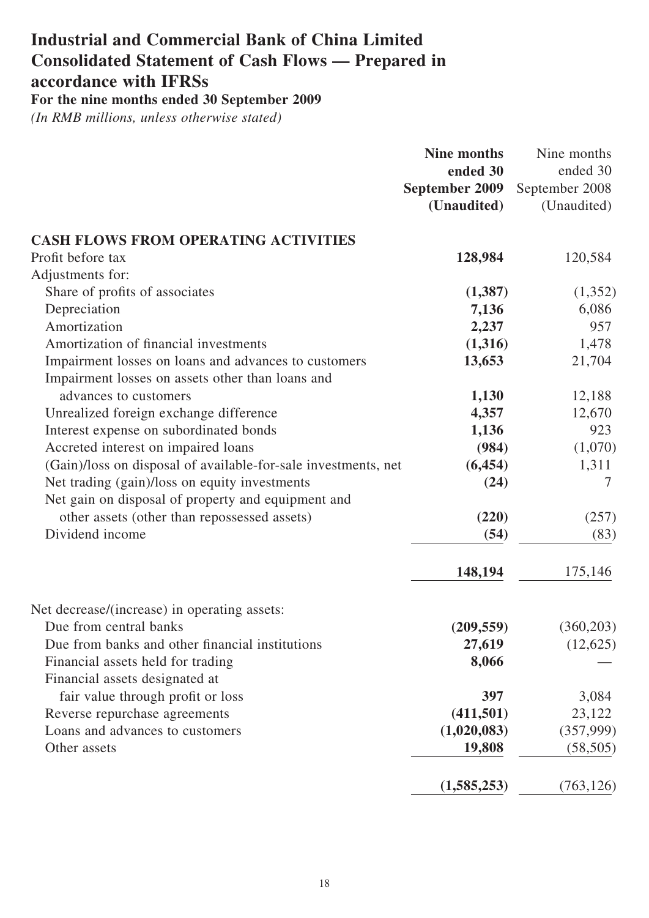# **Industrial and Commercial Bank of China Limited Consolidated Statement of Cash Flows — Prepared in accordance with IFRSs For the nine months ended 30 September 2009**

|                                                                        | <b>Nine months</b> | Nine months    |
|------------------------------------------------------------------------|--------------------|----------------|
|                                                                        | ended 30           | ended 30       |
|                                                                        | September 2009     | September 2008 |
|                                                                        | (Unaudited)        | (Unaudited)    |
| <b>CASH FLOWS FROM OPERATING ACTIVITIES</b>                            |                    |                |
| Profit before tax                                                      | 128,984            | 120,584        |
| Adjustments for:                                                       |                    |                |
| Share of profits of associates                                         | (1,387)            | (1,352)        |
| Depreciation                                                           | 7,136              | 6,086          |
| Amortization                                                           | 2,237              | 957            |
| Amortization of financial investments                                  | (1,316)            | 1,478          |
| Impairment losses on loans and advances to customers                   | 13,653             | 21,704         |
| Impairment losses on assets other than loans and                       |                    |                |
| advances to customers                                                  | 1,130              | 12,188         |
| Unrealized foreign exchange difference                                 | 4,357              | 12,670         |
| Interest expense on subordinated bonds                                 | 1,136              | 923            |
| Accreted interest on impaired loans                                    | (984)              | (1,070)        |
| (Gain)/loss on disposal of available-for-sale investments, net         | (6, 454)           | 1,311          |
| Net trading (gain)/loss on equity investments                          | (24)               | 7              |
| Net gain on disposal of property and equipment and                     |                    |                |
| other assets (other than repossessed assets)                           | (220)              | (257)          |
| Dividend income                                                        | (54)               | (83)           |
|                                                                        | 148,194            | 175,146        |
|                                                                        |                    |                |
| Net decrease/(increase) in operating assets:<br>Due from central banks | (209, 559)         | (360, 203)     |
| Due from banks and other financial institutions                        | 27,619             | (12,625)       |
| Financial assets held for trading                                      | 8,066              |                |
| Financial assets designated at                                         |                    |                |
| fair value through profit or loss                                      | 397                | 3,084          |
| Reverse repurchase agreements                                          | (411,501)          | 23,122         |
| Loans and advances to customers                                        | (1,020,083)        | (357,999)      |
| Other assets                                                           | 19,808             | (58, 505)      |
|                                                                        |                    |                |
|                                                                        | (1,585,253)        | (763, 126)     |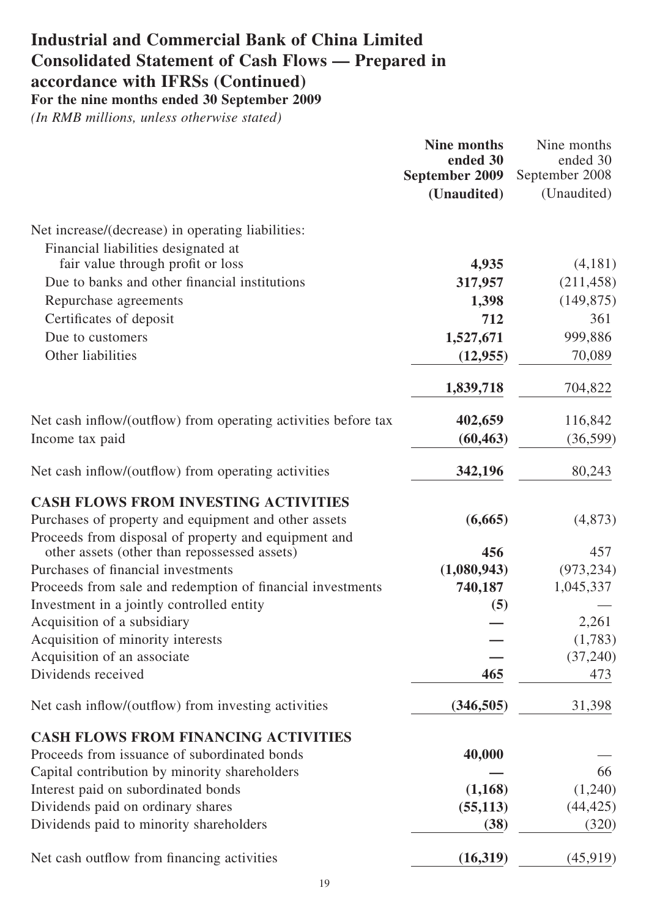# **Industrial and Commercial Bank of China Limited Consolidated Statement of Cash Flows — Prepared in accordance with IFRSs (Continued) For the nine months ended 30 September 2009**

|                                                                | <b>Nine months</b><br>ended 30<br><b>September 2009</b> | Nine months<br>ended 30<br>September 2008 |
|----------------------------------------------------------------|---------------------------------------------------------|-------------------------------------------|
|                                                                | (Unaudited)                                             | (Unaudited)                               |
| Net increase/(decrease) in operating liabilities:              |                                                         |                                           |
| Financial liabilities designated at                            |                                                         |                                           |
| fair value through profit or loss                              | 4,935                                                   | (4,181)                                   |
| Due to banks and other financial institutions                  | 317,957                                                 | (211, 458)                                |
| Repurchase agreements                                          | 1,398                                                   | (149, 875)                                |
| Certificates of deposit                                        | 712                                                     | 361                                       |
| Due to customers                                               | 1,527,671                                               | 999,886                                   |
| Other liabilities                                              | (12, 955)                                               | 70,089                                    |
|                                                                | 1,839,718                                               | 704,822                                   |
| Net cash inflow/(outflow) from operating activities before tax | 402,659                                                 | 116,842                                   |
| Income tax paid                                                | (60, 463)                                               | (36,599)                                  |
| Net cash inflow/(outflow) from operating activities            | 342,196                                                 | 80,243                                    |
| <b>CASH FLOWS FROM INVESTING ACTIVITIES</b>                    |                                                         |                                           |
| Purchases of property and equipment and other assets           | (6,665)                                                 | (4,873)                                   |
| Proceeds from disposal of property and equipment and           |                                                         |                                           |
| other assets (other than repossessed assets)                   | 456                                                     | 457                                       |
| Purchases of financial investments                             | (1,080,943)                                             | (973, 234)                                |
| Proceeds from sale and redemption of financial investments     | 740,187                                                 | 1,045,337                                 |
| Investment in a jointly controlled entity                      | (5)                                                     |                                           |
| Acquisition of a subsidiary                                    |                                                         | 2,261                                     |
| Acquisition of minority interests                              |                                                         | (1,783)                                   |
| Acquisition of an associate                                    |                                                         | (37,240)                                  |
| Dividends received                                             | 465                                                     | 473                                       |
| Net cash inflow/(outflow) from investing activities            | (346,505)                                               | 31,398                                    |
| <b>CASH FLOWS FROM FINANCING ACTIVITIES</b>                    |                                                         |                                           |
| Proceeds from issuance of subordinated bonds                   | 40,000                                                  |                                           |
| Capital contribution by minority shareholders                  |                                                         | 66                                        |
| Interest paid on subordinated bonds                            | (1,168)                                                 | (1,240)                                   |
| Dividends paid on ordinary shares                              | (55, 113)                                               | (44, 425)                                 |
| Dividends paid to minority shareholders                        | (38)                                                    | (320)                                     |
| Net cash outflow from financing activities                     | (16, 319)                                               | (45,919)                                  |